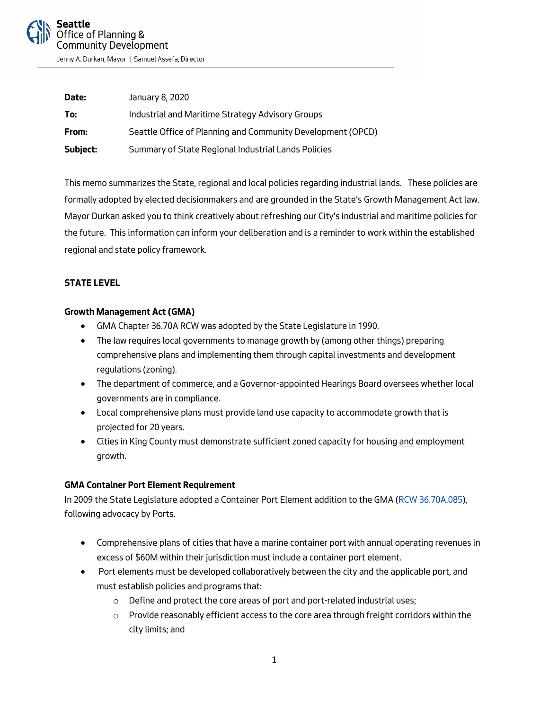

Jenny A. Durkan, Mayor | Samuel Assefa, Director

| Date:    | January 8, 2020                                             |
|----------|-------------------------------------------------------------|
| To:      | Industrial and Maritime Strategy Advisory Groups            |
| From:    | Seattle Office of Planning and Community Development (OPCD) |
| Subject: | Summary of State Regional Industrial Lands Policies         |

This memo summarizes the State, regional and local policies regarding industrial lands. These policies are formally adopted by elected decisionmakers and are grounded in the State's Growth Management Act law. Mayor Durkan asked you to think creatively about refreshing our City's industrial and maritime policies for the future. This information can inform your deliberation and is a reminder to work within the established regional and state policy framework.

### **STATE LEVEL**

### **Growth Management Act (GMA)**

- GMA Chapter 36.70A RCW was adopted by the State Legislature in 1990.
- The law requires local governments to manage growth by (among other things) preparing comprehensive plans and implementing them through capital investments and development regulations (zoning).
- The department of commerce, and a Governor-appointed Hearings Board oversees whether local governments are in compliance.
- Local comprehensive plans must provide land use capacity to accommodate growth that is projected for 20 years.
- Cities in King County must demonstrate sufficient zoned capacity for housing <u>and</u> employment growth.

### **GMA Container Port Element Requirement**

In 2009 the State Legislature adopted a Container Port Element addition to the GMA [\(RCW 36.70A.085\)](https://app.leg.wa.gov/rcw/default.aspx?cite=36.70A.085), following advocacy by Ports.

- Comprehensive plans of cities that have a marine container port with annual operating revenues in excess of \$60M within their jurisdiction must include a container port element.
- Port elements must be developed collaboratively between the city and the applicable port, and must establish policies and programs that:
	- o Define and protect the core areas of port and port-related industrial uses;
	- $\circ$  Provide reasonably efficient access to the core area through freight corridors within the city limits; and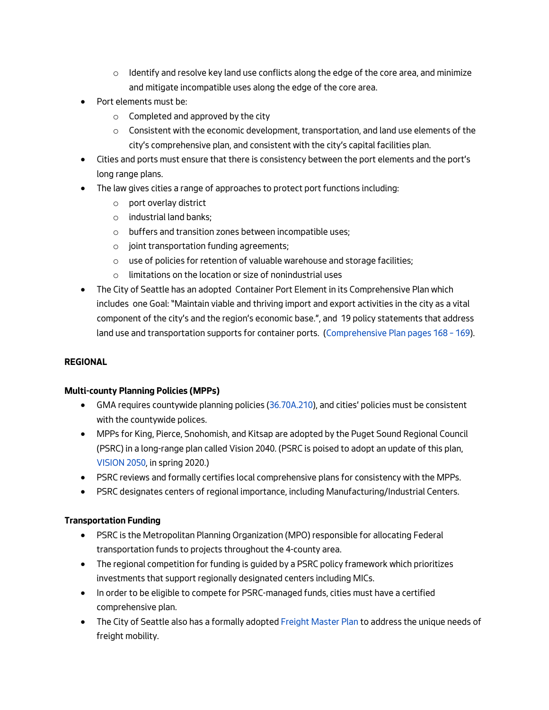- $\circ$  Identify and resolve key land use conflicts along the edge of the core area, and minimize and mitigate incompatible uses along the edge of the core area.
- Port elements must be:
	- $\circ$  Completed and approved by the city
	- $\circ$  Consistent with the economic development, transportation, and land use elements of the city's comprehensive plan, and consistent with the city's capital facilities plan.
- Cities and ports must ensure that there is consistency between the port elements and the port's long range plans.
- The law gives cities a range of approaches to protect port functions including:
	- o port overlay district
	- o industrial land banks;
	- o buffers and transition zones between incompatible uses;
	- o joint transportation funding agreements;
	- o use of policies for retention of valuable warehouse and storage facilities;
	- o limitations on the location or size of nonindustrial uses
- The City of Seattle has an adopted Container Port Element in its Comprehensive Plan which includes one Goal: "Maintain viable and thriving import and export activities in the city as a vital component of the city's and the region's economic base.", and 19 policy statements that address land use and transportation supports for container ports. [\(Comprehensive Plan pages 168 –](https://www.seattle.gov/opcd/ongoing-initiatives/comprehensive-plan#projectdocuments) 169).

# **REGIONAL**

# **Multi-county Planning Policies (MPPs)**

- GMA requires countywide planning policies [\(36.70A.210\)](https://app.leg.wa.gov/RCW/default.aspx?cite=36.70A.210), and cities' policies must be consistent with the countywide polices.
- MPPs for King, Pierce, Snohomish, and Kitsap are adopted by the Puget Sound Regional Council (PSRC) in a long-range plan called Vision 2040. (PSRC is poised to adopt an update of this plan, [VISION 2050,](https://www.psrc.org/vision) in spring 2020.)
- PSRC reviews and formally certifies local comprehensive plans for consistency with the MPPs.
- PSRC designates centers of regional importance, including Manufacturing/Industrial Centers.

# **Transportation Funding**

- PSRC is the Metropolitan Planning Organization (MPO) responsible for allocating Federal transportation funds to projects throughout the 4-county area.
- The regional competition for funding is guided by a PSRC policy framework which prioritizes investments that support regionally designated centers including MICs.
- In order to be eligible to compete for PSRC-managed funds, cities must have a certified comprehensive plan.
- The City of Seattle also has a formally adopte[d Freight Master Plan](https://www.seattle.gov/transportation/sdot-document-library/citywide-plans/modal-plans/freight-master-plan) to address the unique needs of freight mobility.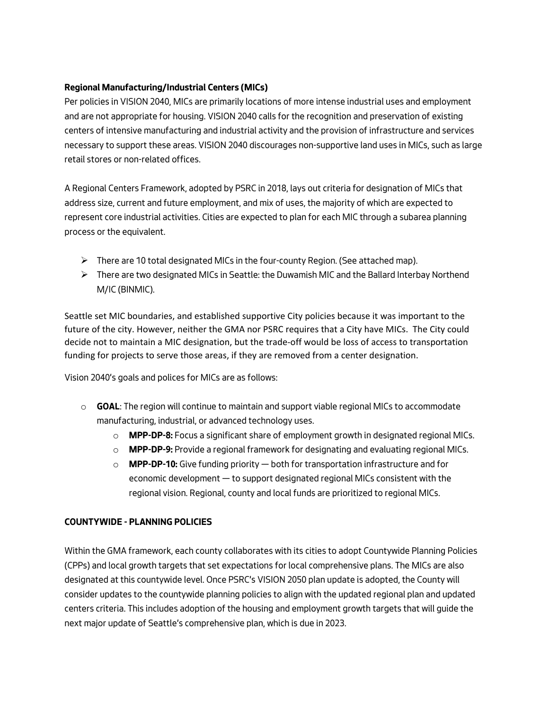# **Regional Manufacturing/Industrial Centers (MICs)**

Per policies in VISION 2040, MICs are primarily locations of more intense industrial uses and employment and are not appropriate for housing. VISION 2040 calls for the recognition and preservation of existing centers of intensive manufacturing and industrial activity and the provision of infrastructure and services necessary to support these areas. VISION 2040 discourages non-supportive land uses in MICs, such as large retail stores or non-related offices.

A Regional Centers Framework, adopted by PSRC in 2018, lays out criteria for designation of MICs that address size, current and future employment, and mix of uses, the majority of which are expected to represent core industrial activities. Cities are expected to plan for each MIC through a subarea planning process or the equivalent.

- $\triangleright$  There are 10 total designated MICs in the four-county Region. (See attached map).
- $\triangleright$  There are two designated MICs in Seattle: the Duwamish MIC and the Ballard Interbay Northend M/IC (BINMIC).

Seattle set MIC boundaries, and established supportive City policies because it was important to the future of the city. However, neither the GMA nor PSRC requires that a City have MICs. The City could decide not to maintain a MIC designation, but the trade-off would be loss of access to transportation funding for projects to serve those areas, if they are removed from a center designation.

Vision 2040's goals and polices for MICs are as follows:

- o **GOAL**: The region will continue to maintain and support viable regional MICs to accommodate manufacturing, industrial, or advanced technology uses.
	- o **MPP-DP-8:** Focus a significant share of employment growth in designated regional MICs.
	- o **MPP-DP-9:** Provide a regional framework for designating and evaluating regional MICs.
	- o **MPP-DP-10:** Give funding priority both for transportation infrastructure and for economic development — to support designated regional MICs consistent with the regional vision. Regional, county and local funds are prioritized to regional MICs.

### **COUNTYWIDE - PLANNING POLICIES**

Within the GMA framework, each county collaborates with its cities to adopt Countywide Planning Policies (CPPs) and local growth targets that set expectations for local comprehensive plans. The MICs are also designated at this countywide level. Once PSRC's VISION 2050 plan update is adopted, the County will consider updates to the countywide planning policies to align with the updated regional plan and updated centers criteria. This includes adoption of the housing and employment growth targets that will guide the next major update of Seattle's comprehensive plan, which is due in 2023.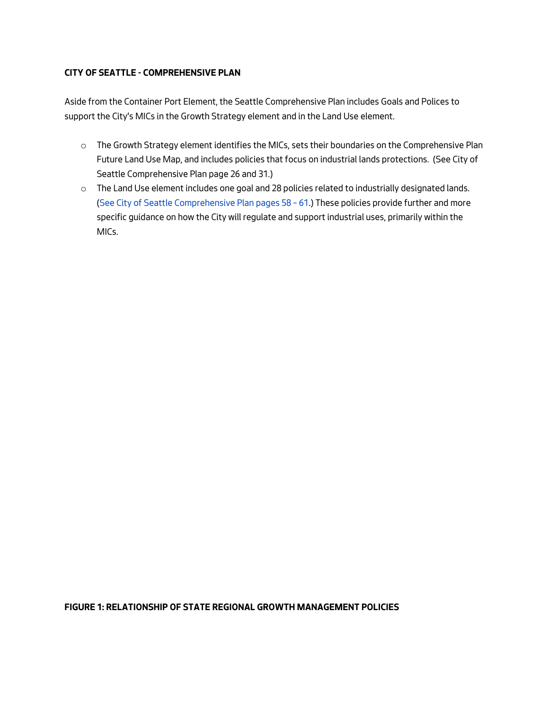### **CITY OF SEATTLE - COMPREHENSIVE PLAN**

Aside from the Container Port Element, the Seattle Comprehensive Plan includes Goals and Polices to support the City's MICs in the Growth Strategy element and in the Land Use element.

- o The Growth Strategy element identifies the MICs, sets their boundaries on the Comprehensive Plan Future Land Use Map, and includes policies that focus on industrial lands protections. (See City of Seattle Comprehensive Plan page 26 and 31.)
- o The Land Use element includes one goal and 28 policies related to industrially designated lands. [\(See City of Seattle Comprehensive Plan pages 58 –](https://www.seattle.gov/opcd/ongoing-initiatives/comprehensive-plan#projectdocuments) 61.) These policies provide further and more specific guidance on how the City will regulate and support industrial uses, primarily within the MICs.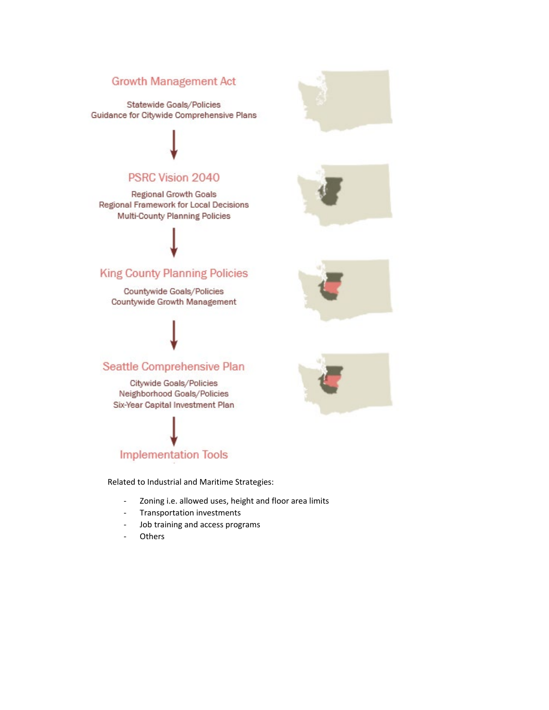# **Growth Management Act**

Statewide Goals/Policies Guidance for Citywide Comprehensive Plans

# PSRC Vision 2040

**Regional Growth Goals** Regional Framework for Local Decisions Multi-County Planning Policies

# **King County Planning Policies**

Countywide Goals/Policies Countywide Growth Management

# Seattle Comprehensive Plan

Citywide Goals/Policies Neighborhood Goals/Policies Six-Year Capital Investment Plan

# **Implementation Tools**

Related to Industrial and Maritime Strategies:

- Zoning i.e. allowed uses, height and floor area limits
- Transportation investments
- Job training and access programs
- Others







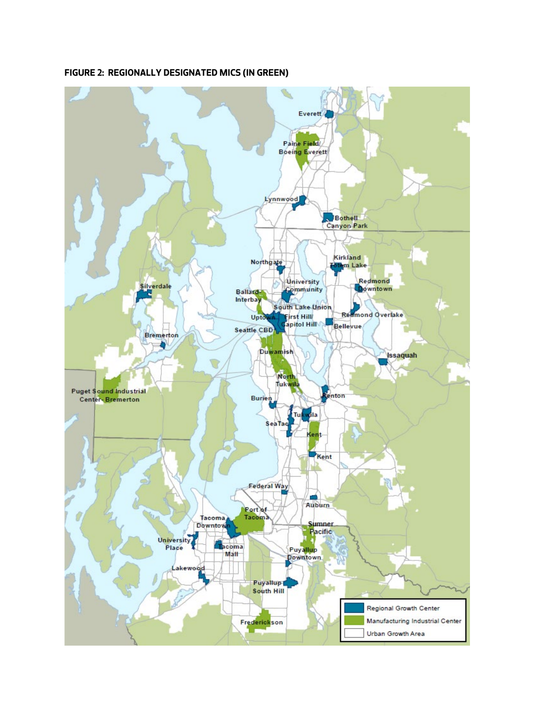

### **FIGURE 2: REGIONALLY DESIGNATED MICS (IN GREEN)**